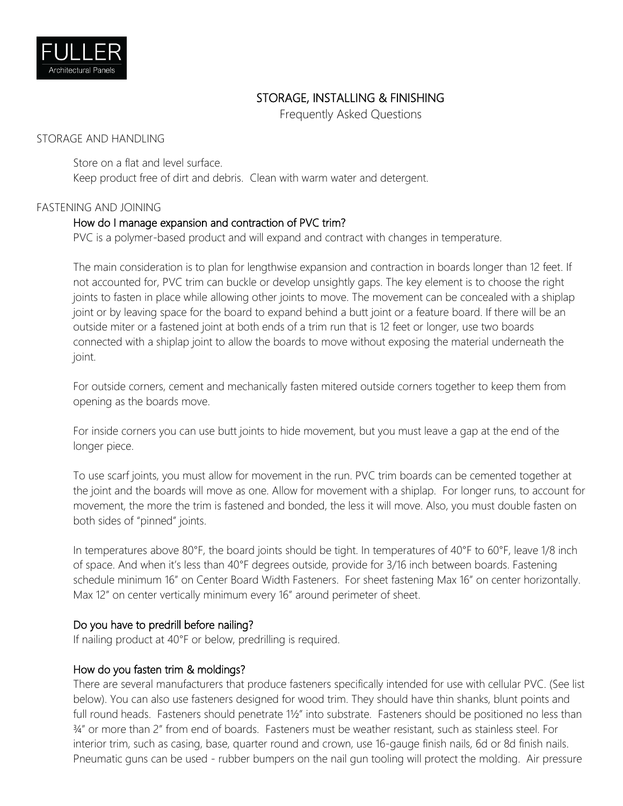

# STORAGE, INSTALLING & FINISHING

Frequently Asked Questions

#### STORAGE AND HANDLING

Store on a flat and level surface. Keep product free of dirt and debris. Clean with warm water and detergent.

#### FASTENING AND JOINING

#### How do I manage expansion and contraction of PVC trim?

PVC is a polymer-based product and will expand and contract with changes in temperature.

The main consideration is to plan for lengthwise expansion and contraction in boards longer than 12 feet. If not accounted for, PVC trim can buckle or develop unsightly gaps. The key element is to choose the right joints to fasten in place while allowing other joints to move. The movement can be concealed with a shiplap joint or by leaving space for the board to expand behind a butt joint or a feature board. If there will be an outside miter or a fastened joint at both ends of a trim run that is 12 feet or longer, use two boards connected with a shiplap joint to allow the boards to move without exposing the material underneath the joint.

For outside corners, cement and mechanically fasten mitered outside corners together to keep them from opening as the boards move.

For inside corners you can use butt joints to hide movement, but you must leave a gap at the end of the longer piece.

To use scarf joints, you must allow for movement in the run. PVC trim boards can be cemented together at the joint and the boards will move as one. Allow for movement with a shiplap. For longer runs, to account for movement, the more the trim is fastened and bonded, the less it will move. Also, you must double fasten on both sides of "pinned" joints.

In temperatures above 80°F, the board joints should be tight. In temperatures of 40°F to 60°F, leave 1/8 inch of space. And when it's less than 40°F degrees outside, provide for 3/16 inch between boards. Fastening schedule minimum 16" on Center Board Width Fasteners. For sheet fastening Max 16" on center horizontally. Max 12" on center vertically minimum every 16" around perimeter of sheet.

#### Do you have to predrill before nailing?

If nailing product at 40°F or below, predrilling is required.

#### How do you fasten trim & moldings?

There are several manufacturers that produce fasteners specifically intended for use with cellular PVC. (See list below). You can also use fasteners designed for wood trim. They should have thin shanks, blunt points and full round heads. Fasteners should penetrate 1½" into substrate. Fasteners should be positioned no less than ¾" or more than 2" from end of boards. Fasteners must be weather resistant, such as stainless steel. For interior trim, such as casing, base, quarter round and crown, use 16-gauge finish nails, 6d or 8d finish nails. Pneumatic guns can be used - rubber bumpers on the nail gun tooling will protect the molding. Air pressure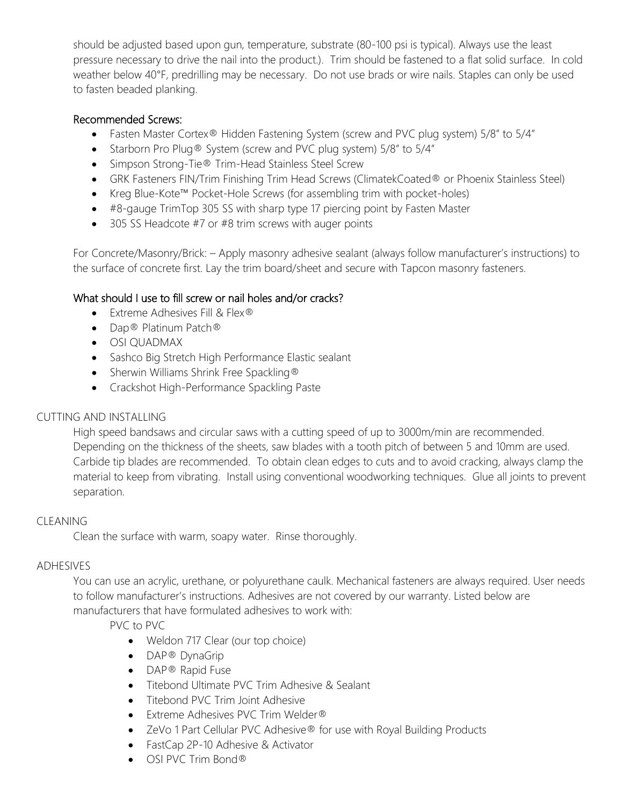should be adjusted based upon gun, temperature, substrate (80-100 psi is typical). Always use the least pressure necessary to drive the nail into the product.). Trim should be fastened to a flat solid surface. In cold weather below 40°F, predrilling may be necessary. Do not use brads or wire nails. Staples can only be used to fasten beaded planking.

#### Recommended Screws:

- Fasten Master Cortex<sup>®</sup> Hidden Fastening System (screw and PVC plug system) 5/8" to 5/4"
- Starborn Pro Plug® System (screw and PVC plug system) 5/8" to 5/4"
- Simpson Strong-Tie® Trim-Head Stainless Steel Screw
- GRK Fasteners FIN/Trim Finishing Trim Head Screws (ClimatekCoated® or Phoenix Stainless Steel)
- Kreg Blue-Kote™ Pocket-Hole Screws (for assembling trim with pocket-holes)
- #8-gauge TrimTop 305 SS with sharp type 17 piercing point by Fasten Master
- 305 SS Headcote #7 or #8 trim screws with auger points

For Concrete/Masonry/Brick: – Apply masonry adhesive sealant (always follow manufacturer's instructions) to the surface of concrete first. Lay the trim board/sheet and secure with Tapcon masonry fasteners.

## What should I use to fill screw or nail holes and/or cracks?

- Extreme Adhesives Fill & Flex®
- Dap® Platinum Patch®
- OSI QUADMAX
- Sashco Big Stretch High Performance Elastic sealant
- Sherwin Williams Shrink Free Spackling®
- Crackshot High-Performance Spackling Paste

### CUTTING AND INSTALLING

High speed bandsaws and circular saws with a cutting speed of up to 3000m/min are recommended. Depending on the thickness of the sheets, saw blades with a tooth pitch of between 5 and 10mm are used. Carbide tip blades are recommended. To obtain clean edges to cuts and to avoid cracking, always clamp the material to keep from vibrating. Install using conventional woodworking techniques. Glue all joints to prevent separation.

### CLEANING

Clean the surface with warm, soapy water. Rinse thoroughly.

### ADHESIVES

You can use an acrylic, urethane, or polyurethane caulk. Mechanical fasteners are always required. User needs to follow manufacturer's instructions. Adhesives are not covered by our warranty. Listed below are manufacturers that have formulated adhesives to work with:

PVC to PVC

- Weldon 717 Clear (our top choice)
- DAP® DynaGrip
- DAP<sup>®</sup> Rapid Fuse
- Titebond Ultimate PVC Trim Adhesive & Sealant
- Titebond PVC Trim Joint Adhesive
- Extreme Adhesives PVC Trim Welder®
- ZeVo 1 Part Cellular PVC Adhesive® for use with Royal Building Products
- FastCap 2P-10 Adhesive & Activator
- OSI PVC Trim Bond®